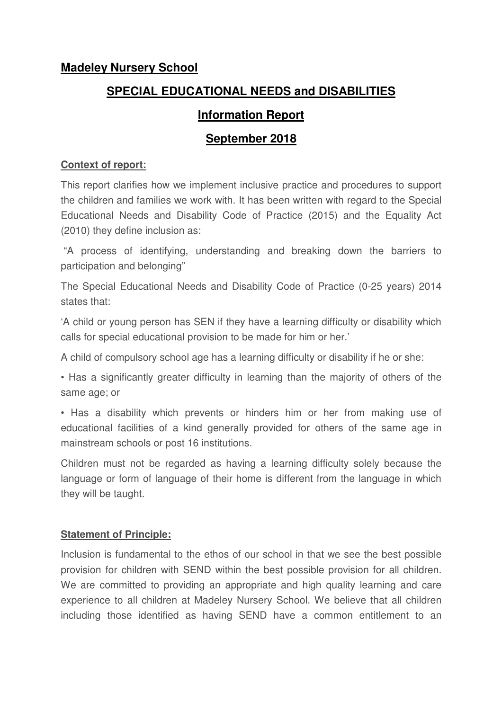### **Madeley Nursery School**

# **SPECIAL EDUCATIONAL NEEDS and DISABILITIES**

## **Information Report**

## **September 2018**

### **Context of report:**

This report clarifies how we implement inclusive practice and procedures to support the children and families we work with. It has been written with regard to the Special Educational Needs and Disability Code of Practice (2015) and the Equality Act (2010) they define inclusion as:

 "A process of identifying, understanding and breaking down the barriers to participation and belonging"

The Special Educational Needs and Disability Code of Practice (0-25 years) 2014 states that:

'A child or young person has SEN if they have a learning difficulty or disability which calls for special educational provision to be made for him or her.'

A child of compulsory school age has a learning difficulty or disability if he or she:

• Has a significantly greater difficulty in learning than the majority of others of the same age; or

• Has a disability which prevents or hinders him or her from making use of educational facilities of a kind generally provided for others of the same age in mainstream schools or post 16 institutions.

Children must not be regarded as having a learning difficulty solely because the language or form of language of their home is different from the language in which they will be taught.

### **Statement of Principle:**

Inclusion is fundamental to the ethos of our school in that we see the best possible provision for children with SEND within the best possible provision for all children. We are committed to providing an appropriate and high quality learning and care experience to all children at Madeley Nursery School. We believe that all children including those identified as having SEND have a common entitlement to an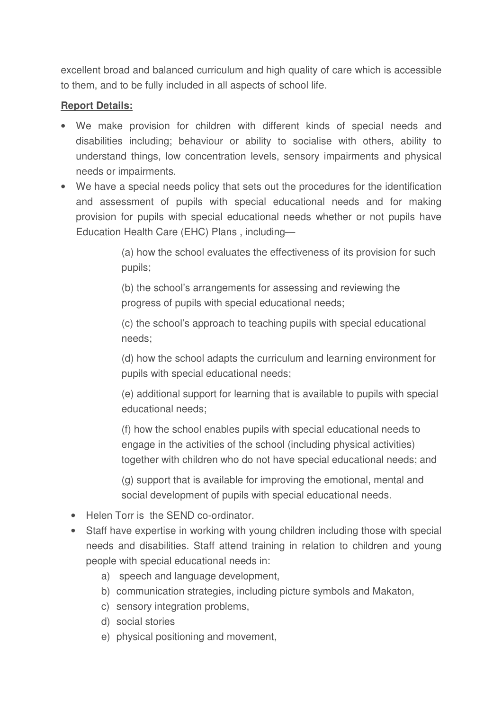excellent broad and balanced curriculum and high quality of care which is accessible to them, and to be fully included in all aspects of school life.

### **Report Details:**

- We make provision for children with different kinds of special needs and disabilities including; behaviour or ability to socialise with others, ability to understand things, low concentration levels, sensory impairments and physical needs or impairments.
- We have a special needs policy that sets out the procedures for the identification and assessment of pupils with special educational needs and for making provision for pupils with special educational needs whether or not pupils have Education Health Care (EHC) Plans , including—

(a) how the school evaluates the effectiveness of its provision for such pupils;

(b) the school's arrangements for assessing and reviewing the progress of pupils with special educational needs;

(c) the school's approach to teaching pupils with special educational needs;

(d) how the school adapts the curriculum and learning environment for pupils with special educational needs;

(e) additional support for learning that is available to pupils with special educational needs;

(f) how the school enables pupils with special educational needs to engage in the activities of the school (including physical activities) together with children who do not have special educational needs; and

(g) support that is available for improving the emotional, mental and social development of pupils with special educational needs.

- Helen Torr is the SEND co-ordinator.
- Staff have expertise in working with young children including those with special needs and disabilities. Staff attend training in relation to children and young people with special educational needs in:
	- a) speech and language development,
	- b) communication strategies, including picture symbols and Makaton,
	- c) sensory integration problems,
	- d) social stories
	- e) physical positioning and movement,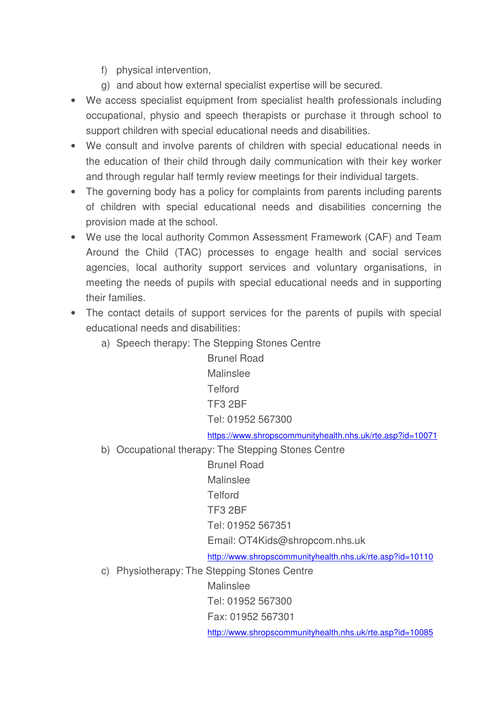- f) physical intervention,
- g) and about how external specialist expertise will be secured.
- We access specialist equipment from specialist health professionals including occupational, physio and speech therapists or purchase it through school to support children with special educational needs and disabilities.
- We consult and involve parents of children with special educational needs in the education of their child through daily communication with their key worker and through regular half termly review meetings for their individual targets.
- The governing body has a policy for complaints from parents including parents of children with special educational needs and disabilities concerning the provision made at the school.
- We use the local authority Common Assessment Framework (CAF) and Team Around the Child (TAC) processes to engage health and social services agencies, local authority support services and voluntary organisations, in meeting the needs of pupils with special educational needs and in supporting their families.
- The contact details of support services for the parents of pupils with special educational needs and disabilities:
	- a) Speech therapy: The Stepping Stones Centre

 Brunel Road Malinslee **Telford**  TF3 2BF Tel: 01952 567300

https://www.shropscommunityhealth.nhs.uk/rte.asp?id=10071

b) Occupational therapy: The Stepping Stones Centre

 Brunel Road Malinslee **Telford**  TF3 2BF Tel: 01952 567351 Email: OT4Kids@shropcom.nhs.uk http://www.shropscommunityhealth.nhs.uk/rte.asp?id=10110

c) Physiotherapy: The Stepping Stones Centre

Malinslee

Tel: 01952 567300

Fax: 01952 567301

http://www.shropscommunityhealth.nhs.uk/rte.asp?id=10085